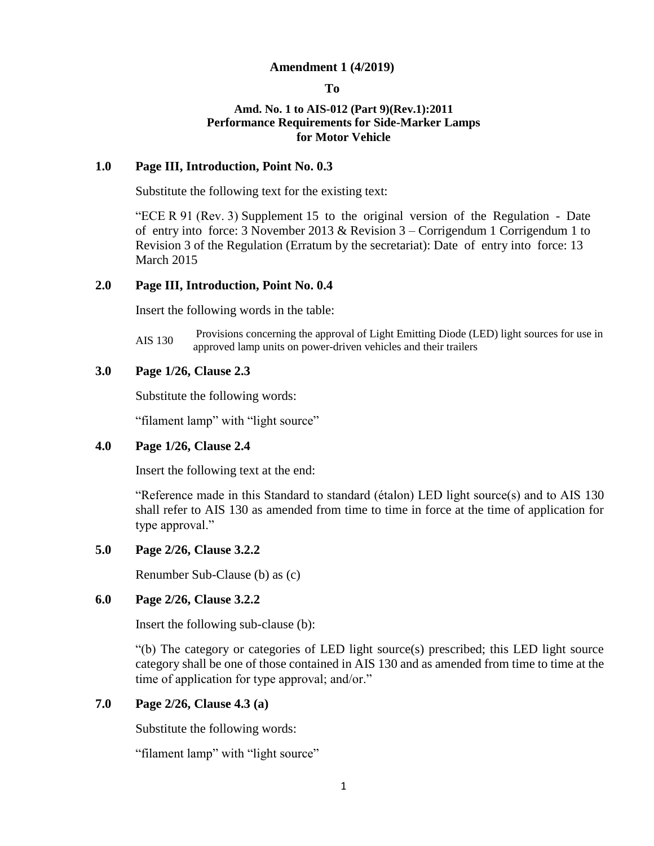### **Amendment 1 (4/2019)**

**To** 

# **Amd. No. 1 to AIS-012 (Part 9)(Rev.1):2011 Performance Requirements for Side-Marker Lamps for Motor Vehicle**

# **1.0 Page III, Introduction, Point No. 0.3**

Substitute the following text for the existing text:

"ECE R 91 (Rev. 3) Supplement 15 to the original version of the Regulation - Date of entry into force: 3 November 2013 & Revision 3 – Corrigendum 1 Corrigendum 1 to Revision 3 of the Regulation (Erratum by the secretariat): Date of entry into force: 13 March 2015

# **2.0 Page III, Introduction, Point No. 0.4**

Insert the following words in the table:

AIS 130 Provisions concerning the approval of Light Emitting Diode (LED) light sources for use in approved lamp units on power-driven vehicles and their trailers

# **3.0 Page 1/26, Clause 2.3**

Substitute the following words:

"filament lamp" with "light source"

# **4.0 Page 1/26, Clause 2.4**

Insert the following text at the end:

"Reference made in this Standard to standard (étalon) LED light source(s) and to AIS 130 shall refer to AIS 130 as amended from time to time in force at the time of application for type approval."

### **5.0 Page 2/26, Clause 3.2.2**

Renumber Sub-Clause (b) as (c)

# **6.0 Page 2/26, Clause 3.2.2**

Insert the following sub-clause (b):

"(b) The category or categories of LED light source(s) prescribed; this LED light source category shall be one of those contained in AIS 130 and as amended from time to time at the time of application for type approval; and/or."

# **7.0 Page 2/26, Clause 4.3 (a)**

Substitute the following words:

"filament lamp" with "light source"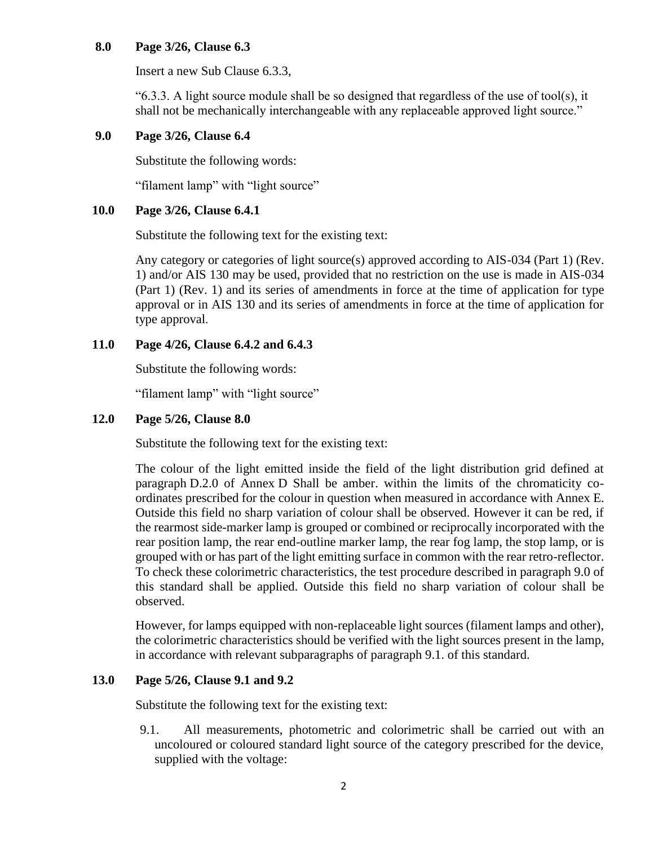# **8.0 Page 3/26, Clause 6.3**

Insert a new Sub Clause 6.3.3,

 $(6.3.3. \text{ A light source module shall be so designed that regardless of the use of tool(s), it$ shall not be mechanically interchangeable with any replaceable approved light source."

# **9.0 Page 3/26, Clause 6.4**

Substitute the following words:

"filament lamp" with "light source"

### **10.0 Page 3/26, Clause 6.4.1**

Substitute the following text for the existing text:

Any category or categories of light source(s) approved according to AIS-034 (Part 1) (Rev. 1) and/or AIS 130 may be used, provided that no restriction on the use is made in AIS-034 (Part 1) (Rev. 1) and its series of amendments in force at the time of application for type approval or in AIS 130 and its series of amendments in force at the time of application for type approval.

### **11.0 Page 4/26, Clause 6.4.2 and 6.4.3**

Substitute the following words:

"filament lamp" with "light source"

### **12.0 Page 5/26, Clause 8.0**

Substitute the following text for the existing text:

The colour of the light emitted inside the field of the light distribution grid defined at paragraph D.2.0 of Annex D Shall be amber. within the limits of the chromaticity coordinates prescribed for the colour in question when measured in accordance with Annex E. Outside this field no sharp variation of colour shall be observed. However it can be red, if the rearmost side-marker lamp is grouped or combined or reciprocally incorporated with the rear position lamp, the rear end-outline marker lamp, the rear fog lamp, the stop lamp, or is grouped with or has part of the light emitting surface in common with the rear retro-reflector. To check these colorimetric characteristics, the test procedure described in paragraph 9.0 of this standard shall be applied. Outside this field no sharp variation of colour shall be observed.

However, for lamps equipped with non-replaceable light sources (filament lamps and other), the colorimetric characteristics should be verified with the light sources present in the lamp, in accordance with relevant subparagraphs of paragraph 9.1. of this standard.

# **13.0 Page 5/26, Clause 9.1 and 9.2**

Substitute the following text for the existing text:

9.1. All measurements, photometric and colorimetric shall be carried out with an uncoloured or coloured standard light source of the category prescribed for the device, supplied with the voltage: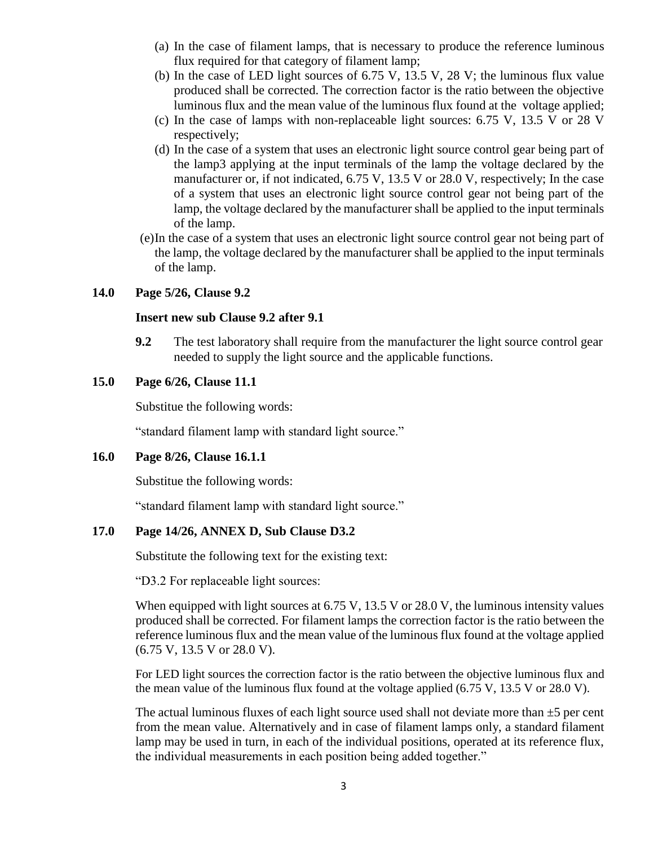- (a) In the case of filament lamps, that is necessary to produce the reference luminous flux required for that category of filament lamp;
- (b) In the case of LED light sources of 6.75 V, 13.5 V, 28 V; the luminous flux value produced shall be corrected. The correction factor is the ratio between the objective luminous flux and the mean value of the luminous flux found at the voltage applied;
- (c) In the case of lamps with non-replaceable light sources: 6.75 V, 13.5 V or 28 V respectively;
- (d) In the case of a system that uses an electronic light source control gear being part of the lamp3 applying at the input terminals of the lamp the voltage declared by the manufacturer or, if not indicated, 6.75 V, 13.5 V or 28.0 V, respectively; In the case of a system that uses an electronic light source control gear not being part of the lamp, the voltage declared by the manufacturer shall be applied to the input terminals of the lamp.
- (e)In the case of a system that uses an electronic light source control gear not being part of the lamp, the voltage declared by the manufacturer shall be applied to the input terminals of the lamp.

# **14.0 Page 5/26, Clause 9.2**

### **Insert new sub Clause 9.2 after 9.1**

**9.2** The test laboratory shall require from the manufacturer the light source control gear needed to supply the light source and the applicable functions.

# **15.0 Page 6/26, Clause 11.1**

Substitue the following words:

"standard filament lamp with standard light source."

# **16.0 Page 8/26, Clause 16.1.1**

Substitue the following words:

"standard filament lamp with standard light source."

# **17.0 Page 14/26, ANNEX D, Sub Clause D3.2**

Substitute the following text for the existing text:

"D3.2 For replaceable light sources:

When equipped with light sources at 6.75 V, 13.5 V or 28.0 V, the luminous intensity values produced shall be corrected. For filament lamps the correction factor is the ratio between the reference luminous flux and the mean value of the luminous flux found at the voltage applied (6.75 V, 13.5 V or 28.0 V).

For LED light sources the correction factor is the ratio between the objective luminous flux and the mean value of the luminous flux found at the voltage applied (6.75 V, 13.5 V or 28.0 V).

The actual luminous fluxes of each light source used shall not deviate more than  $\pm 5$  per cent from the mean value. Alternatively and in case of filament lamps only, a standard filament lamp may be used in turn, in each of the individual positions, operated at its reference flux, the individual measurements in each position being added together."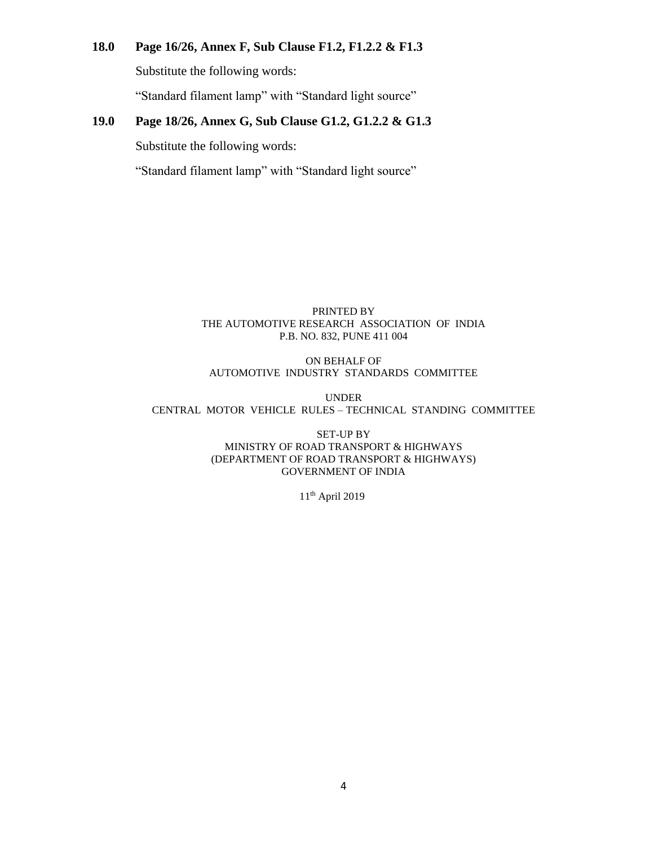# **18.0 Page 16/26, Annex F, Sub Clause F1.2, F1.2.2 & F1.3**

Substitute the following words:

"Standard filament lamp" with "Standard light source"

# **19.0 Page 18/26, Annex G, Sub Clause G1.2, G1.2.2 & G1.3**

Substitute the following words:

"Standard filament lamp" with "Standard light source"

#### PRINTED BY THE AUTOMOTIVE RESEARCH ASSOCIATION OF INDIA P.B. NO. 832, PUNE 411 004

### ON BEHALF OF AUTOMOTIVE INDUSTRY STANDARDS COMMITTEE

UNDER CENTRAL MOTOR VEHICLE RULES – TECHNICAL STANDING COMMITTEE

> SET-UP BY MINISTRY OF ROAD TRANSPORT & HIGHWAYS (DEPARTMENT OF ROAD TRANSPORT & HIGHWAYS) GOVERNMENT OF INDIA

> > 11th April 2019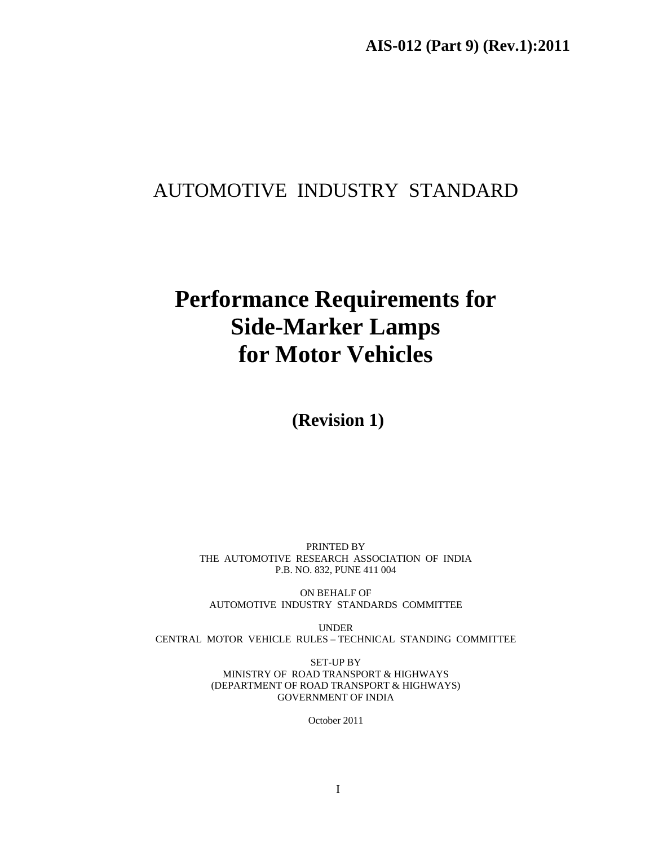# AUTOMOTIVE INDUSTRY STANDARD

# **Performance Requirements for Side-Marker Lamps for Motor Vehicles**

 **(Revision 1)** 

PRINTED BY THE AUTOMOTIVE RESEARCH ASSOCIATION OF INDIA P.B. NO. 832, PUNE 411 004

ON BEHALF OF AUTOMOTIVE INDUSTRY STANDARDS COMMITTEE

UNDER CENTRAL MOTOR VEHICLE RULES – TECHNICAL STANDING COMMITTEE

> SET-UP BY MINISTRY OF ROAD TRANSPORT & HIGHWAYS (DEPARTMENT OF ROAD TRANSPORT & HIGHWAYS) GOVERNMENT OF INDIA

> > October 2011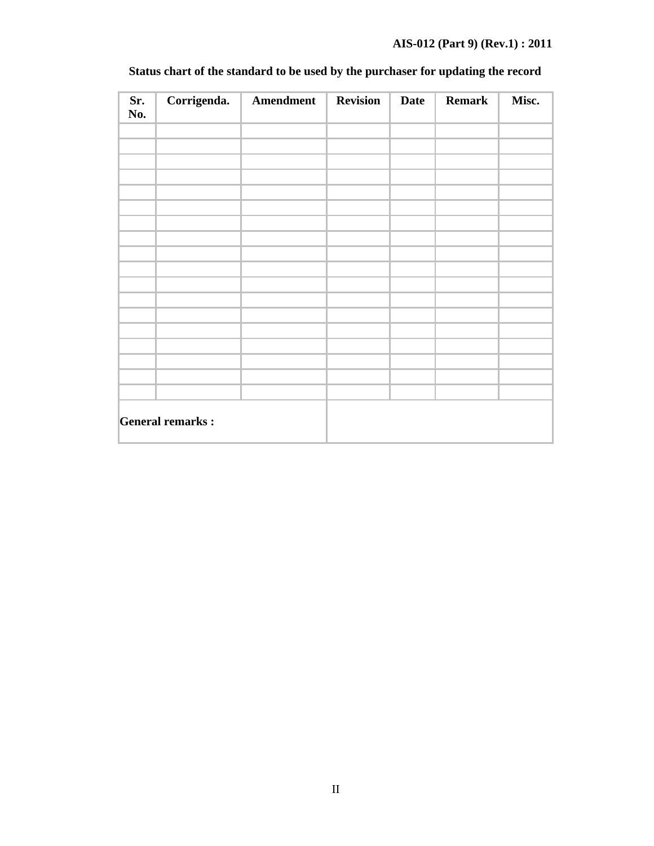# **AIS-012 (Part 9) (Rev.1) : 2011**

| Sr.<br>No. | Corrigenda.             | Amendment | <b>Revision</b> | <b>Date</b> | <b>Remark</b> | Misc. |
|------------|-------------------------|-----------|-----------------|-------------|---------------|-------|
|            |                         |           |                 |             |               |       |
|            |                         |           |                 |             |               |       |
|            |                         |           |                 |             |               |       |
|            |                         |           |                 |             |               |       |
|            |                         |           |                 |             |               |       |
|            |                         |           |                 |             |               |       |
|            |                         |           |                 |             |               |       |
|            |                         |           |                 |             |               |       |
|            |                         |           |                 |             |               |       |
|            |                         |           |                 |             |               |       |
|            |                         |           |                 |             |               |       |
|            |                         |           |                 |             |               |       |
|            |                         |           |                 |             |               |       |
|            |                         |           |                 |             |               |       |
|            |                         |           |                 |             |               |       |
|            |                         |           |                 |             |               |       |
|            |                         |           |                 |             |               |       |
|            |                         |           |                 |             |               |       |
|            | <b>General remarks:</b> |           |                 |             |               |       |

# **Status chart of the standard to be used by the purchaser for updating the record**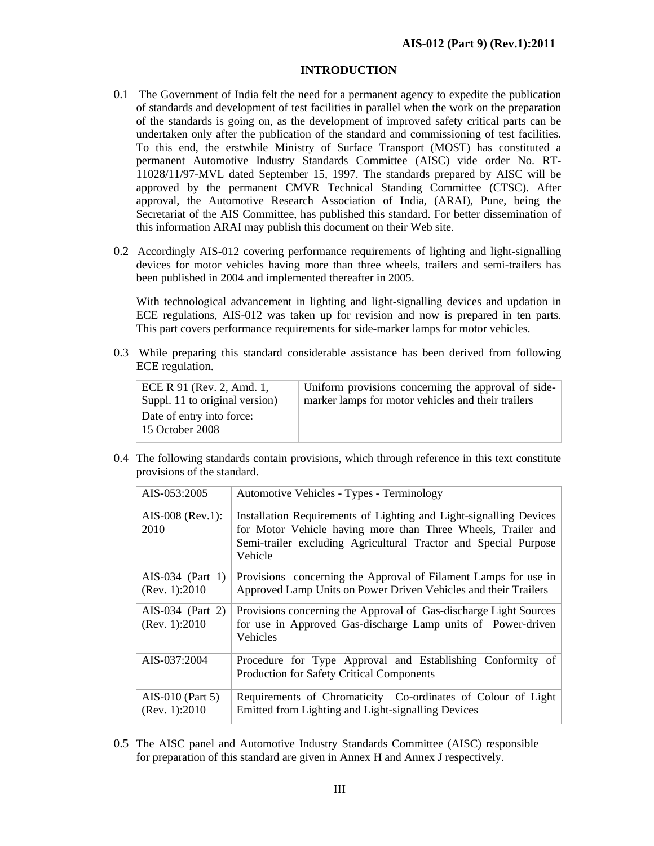### **INTRODUCTION**

- 0.1 The Government of India felt the need for a permanent agency to expedite the publication of standards and development of test facilities in parallel when the work on the preparation of the standards is going on, as the development of improved safety critical parts can be undertaken only after the publication of the standard and commissioning of test facilities. To this end, the erstwhile Ministry of Surface Transport (MOST) has constituted a permanent Automotive Industry Standards Committee (AISC) vide order No. RT-11028/11/97-MVL dated September 15, 1997. The standards prepared by AISC will be approved by the permanent CMVR Technical Standing Committee (CTSC). After approval, the Automotive Research Association of India, (ARAI), Pune, being the Secretariat of the AIS Committee, has published this standard. For better dissemination of this information ARAI may publish this document on their Web site.
- 0.2 Accordingly AIS-012 covering performance requirements of lighting and light-signalling devices for motor vehicles having more than three wheels, trailers and semi-trailers has been published in 2004 and implemented thereafter in 2005.

With technological advancement in lighting and light-signalling devices and updation in ECE regulations, AIS-012 was taken up for revision and now is prepared in ten parts. This part covers performance requirements for side-marker lamps for motor vehicles.

0.3 While preparing this standard considerable assistance has been derived from following ECE regulation.

| ECE R 91 (Rev. 2, Amd. 1,                    | Uniform provisions concerning the approval of side- |
|----------------------------------------------|-----------------------------------------------------|
| Suppl. 11 to original version)               | marker lamps for motor vehicles and their trailers  |
| Date of entry into force:<br>15 October 2008 |                                                     |

0.4 The following standards contain provisions, which through reference in this text constitute provisions of the standard.

| AIS-053:2005             | Automotive Vehicles - Types - Terminology                                                                                                                                                                        |  |  |
|--------------------------|------------------------------------------------------------------------------------------------------------------------------------------------------------------------------------------------------------------|--|--|
| AIS-008 (Rev.1):<br>2010 | Installation Requirements of Lighting and Light-signalling Devices<br>for Motor Vehicle having more than Three Wheels, Trailer and<br>Semi-trailer excluding Agricultural Tractor and Special Purpose<br>Vehicle |  |  |
|                          |                                                                                                                                                                                                                  |  |  |
| AIS-034 (Part $1$ )      | Provisions concerning the Approval of Filament Lamps for use in                                                                                                                                                  |  |  |
| (Rev. 1): 2010           | Approved Lamp Units on Power Driven Vehicles and their Trailers                                                                                                                                                  |  |  |
| AIS-034 (Part 2)         | Provisions concerning the Approval of Gas-discharge Light Sources                                                                                                                                                |  |  |
| (Rev. 1): 2010           | for use in Approved Gas-discharge Lamp units of Power-driven<br>Vehicles                                                                                                                                         |  |  |
| AIS-037:2004             | Procedure for Type Approval and Establishing Conformity of                                                                                                                                                       |  |  |
|                          | Production for Safety Critical Components                                                                                                                                                                        |  |  |
| AIS-010 (Part 5)         | Requirements of Chromaticity Co-ordinates of Colour of Light                                                                                                                                                     |  |  |
| (Rev. 1):2010            | Emitted from Lighting and Light-signalling Devices                                                                                                                                                               |  |  |

0.5 The AISC panel and Automotive Industry Standards Committee (AISC) responsible for preparation of this standard are given in Annex H and Annex J respectively.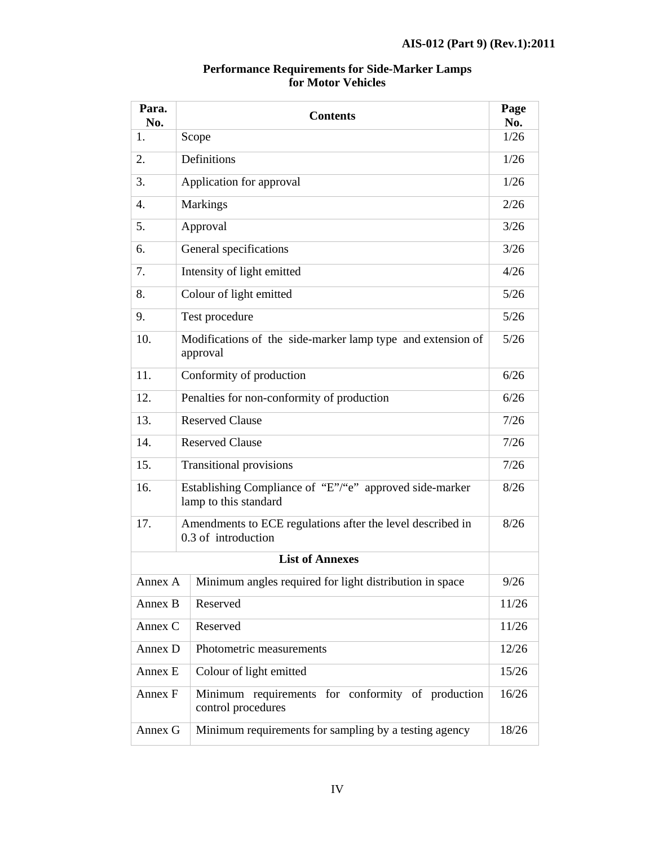| Para.<br>No. | <b>Contents</b>                                                                   |        |
|--------------|-----------------------------------------------------------------------------------|--------|
| 1.           | Scope                                                                             | 1/26   |
| 2.           | Definitions                                                                       |        |
| 3.           | Application for approval                                                          | 1/26   |
| 4.           | <b>Markings</b>                                                                   | 2/26   |
| 5.           | Approval                                                                          | 3/26   |
| 6.           | General specifications                                                            | 3/26   |
| 7.           | Intensity of light emitted                                                        | 4/26   |
| 8.           | Colour of light emitted                                                           | $5/26$ |
| 9.           | Test procedure                                                                    | 5/26   |
| 10.          | Modifications of the side-marker lamp type and extension of<br>approval           |        |
| 11.          | Conformity of production                                                          | 6/26   |
| 12.          | Penalties for non-conformity of production                                        |        |
| 13.          | <b>Reserved Clause</b>                                                            |        |
| 14.          | <b>Reserved Clause</b>                                                            |        |
| 15.          | <b>Transitional provisions</b>                                                    | 7/26   |
| 16.          | Establishing Compliance of "E"/"e" approved side-marker<br>lamp to this standard  | 8/26   |
| 17.          | Amendments to ECE regulations after the level described in<br>0.3 of introduction | 8/26   |
|              | <b>List of Annexes</b>                                                            |        |
| Annex A      | Minimum angles required for light distribution in space                           | 9/26   |
| Annex B      | Reserved                                                                          | 11/26  |
| Annex C      | Reserved                                                                          | 11/26  |
| Annex D      | Photometric measurements                                                          | 12/26  |
| Annex E      | Colour of light emitted                                                           |        |
| Annex F      | Minimum requirements for conformity of production<br>control procedures           | 16/26  |
| Annex G      | Minimum requirements for sampling by a testing agency                             | 18/26  |

### **Performance Requirements for Side-Marker Lamps for Motor Vehicles**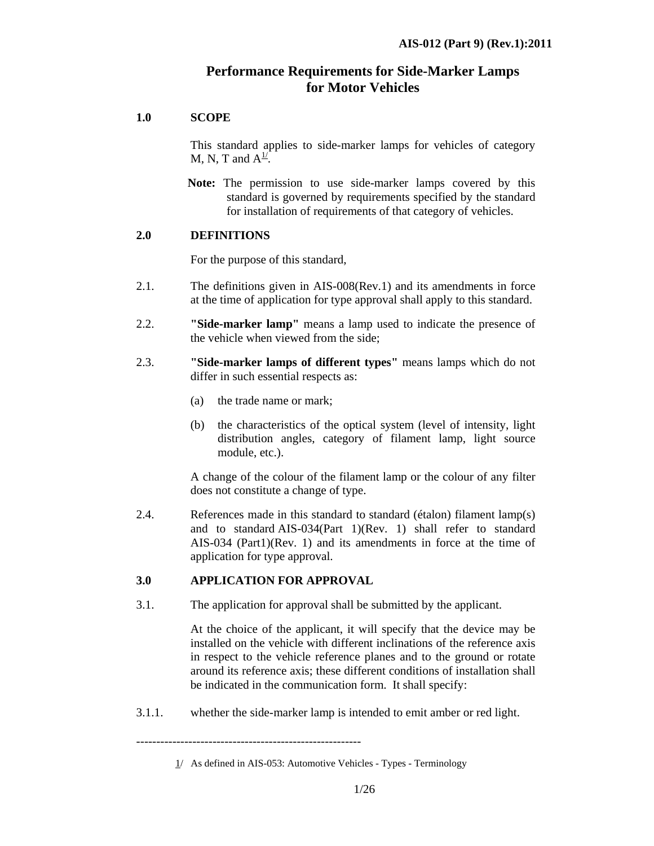# **Performance Requirements for Side-Marker Lamps for Motor Vehicles**

# **1.0 SCOPE**

 This standard applies to side-marker lamps for vehicles of category M, N, T and  $A^{\underline{1}}$ .

 **Note:** The permission to use side-marker lamps covered by this standard is governed by requirements specified by the standard for installation of requirements of that category of vehicles.

# **2.0 DEFINITIONS**

For the purpose of this standard,

- 2.1. The definitions given in AIS-008(Rev.1) and its amendments in force at the time of application for type approval shall apply to this standard.
- 2.2. **"Side-marker lamp"** means a lamp used to indicate the presence of the vehicle when viewed from the side;
- 2.3. **"Side-marker lamps of different types"** means lamps which do not differ in such essential respects as:
	- (a) the trade name or mark;
	- (b) the characteristics of the optical system (level of intensity, light distribution angles, category of filament lamp, light source module, etc.).

 A change of the colour of the filament lamp or the colour of any filter does not constitute a change of type.

2.4. References made in this standard to standard (étalon) filament lamp(s) and to standard AIS-034(Part 1)(Rev. 1) shall refer to standard AIS-034 (Part1)(Rev. 1) and its amendments in force at the time of application for type approval.

# **3.0 APPLICATION FOR APPROVAL**

3.1. The application for approval shall be submitted by the applicant.

 At the choice of the applicant, it will specify that the device may be installed on the vehicle with different inclinations of the reference axis in respect to the vehicle reference planes and to the ground or rotate around its reference axis; these different conditions of installation shall be indicated in the communication form. It shall specify:

3.1.1. whether the side-marker lamp is intended to emit amber or red light.

 <sup>1/</sup> As defined in AIS-053: Automotive Vehicles - Types - Terminology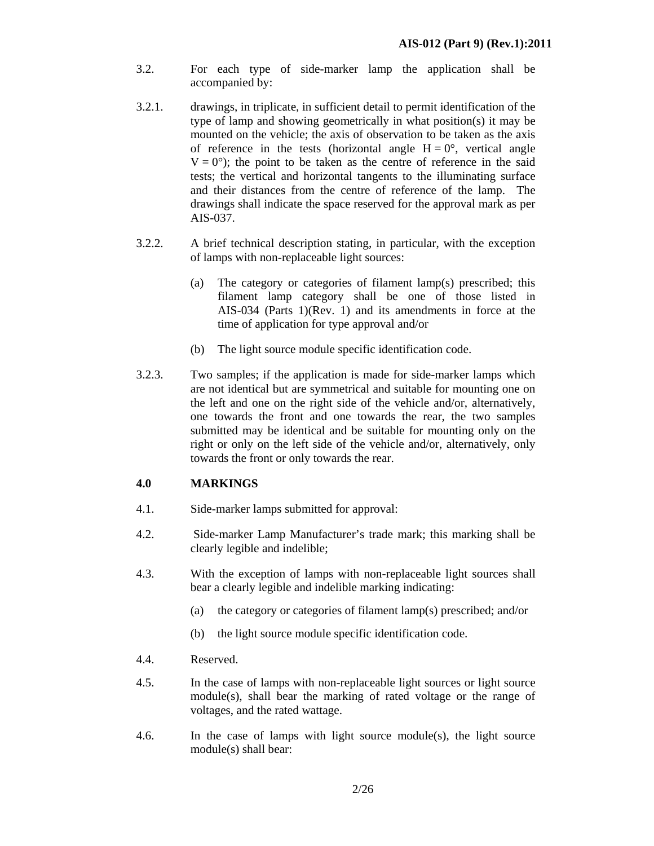- 3.2. For each type of side-marker lamp the application shall be accompanied by:
- 3.2.1. drawings, in triplicate, in sufficient detail to permit identification of the type of lamp and showing geometrically in what position(s) it may be mounted on the vehicle; the axis of observation to be taken as the axis of reference in the tests (horizontal angle  $H = 0^{\circ}$ , vertical angle  $V = 0^{\circ}$ ; the point to be taken as the centre of reference in the said tests; the vertical and horizontal tangents to the illuminating surface and their distances from the centre of reference of the lamp. The drawings shall indicate the space reserved for the approval mark as per AIS-037.
- 3.2.2. A brief technical description stating, in particular, with the exception of lamps with non-replaceable light sources:
	- (a) The category or categories of filament lamp(s) prescribed; this filament lamp category shall be one of those listed in AIS-034 (Parts 1)(Rev. 1) and its amendments in force at the time of application for type approval and/or
	- (b) The light source module specific identification code.
- 3.2.3. Two samples; if the application is made for side-marker lamps which are not identical but are symmetrical and suitable for mounting one on the left and one on the right side of the vehicle and/or, alternatively, one towards the front and one towards the rear, the two samples submitted may be identical and be suitable for mounting only on the right or only on the left side of the vehicle and/or, alternatively, only towards the front or only towards the rear.

# **4.0 MARKINGS**

- 4.1. Side-marker lamps submitted for approval:
- 4.2. Side-marker Lamp Manufacturer's trade mark; this marking shall be clearly legible and indelible;
- 4.3. With the exception of lamps with non-replaceable light sources shall bear a clearly legible and indelible marking indicating:
	- (a) the category or categories of filament lamp(s) prescribed; and/or
	- (b) the light source module specific identification code.
- 4.4. Reserved.
- 4.5. In the case of lamps with non-replaceable light sources or light source module(s), shall bear the marking of rated voltage or the range of voltages, and the rated wattage.
- 4.6. In the case of lamps with light source module(s), the light source module(s) shall bear: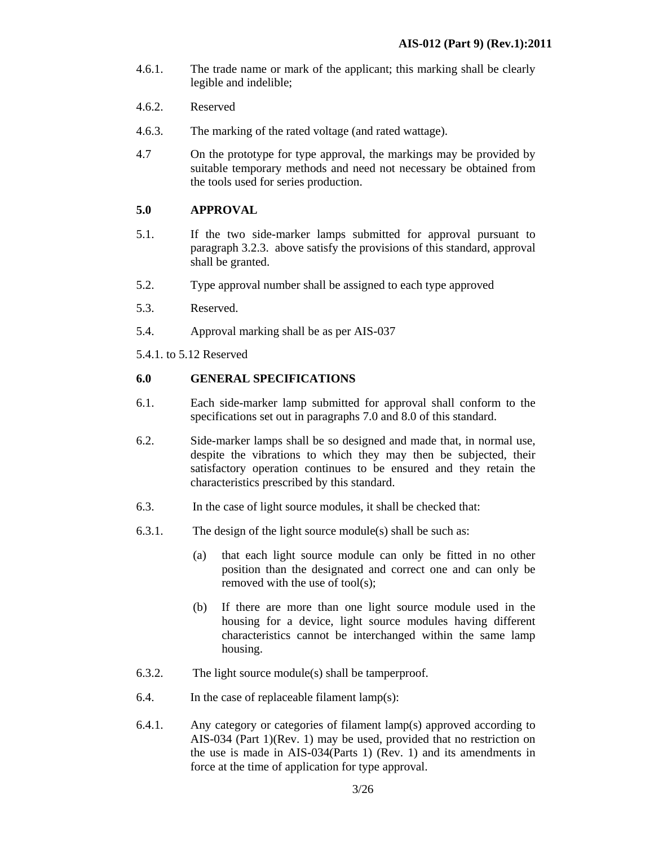- 4.6.1. The trade name or mark of the applicant; this marking shall be clearly legible and indelible;
- 4.6.2. Reserved
- 4.6.3. The marking of the rated voltage (and rated wattage).
- 4.7 On the prototype for type approval, the markings may be provided by suitable temporary methods and need not necessary be obtained from the tools used for series production.

### **5.0 APPROVAL**

- 5.1. If the two side-marker lamps submitted for approval pursuant to paragraph 3.2.3. above satisfy the provisions of this standard, approval shall be granted.
- 5.2. Type approval number shall be assigned to each type approved
- 5.3. Reserved.
- 5.4. Approval marking shall be as per AIS-037
- 5.4.1. to 5.12 Reserved

# **6.0 GENERAL SPECIFICATIONS**

- 6.1. Each side-marker lamp submitted for approval shall conform to the specifications set out in paragraphs 7.0 and 8.0 of this standard.
- 6.2. Side-marker lamps shall be so designed and made that, in normal use, despite the vibrations to which they may then be subjected, their satisfactory operation continues to be ensured and they retain the characteristics prescribed by this standard.
- 6.3. In the case of light source modules, it shall be checked that:
- 6.3.1. The design of the light source module(s) shall be such as:
	- (a) that each light source module can only be fitted in no other position than the designated and correct one and can only be removed with the use of tool(s);
	- (b) If there are more than one light source module used in the housing for a device, light source modules having different characteristics cannot be interchanged within the same lamp housing.
- 6.3.2. The light source module(s) shall be tamperproof.
- 6.4. In the case of replaceable filament lamp(s):
- 6.4.1. Any category or categories of filament lamp(s) approved according to AIS-034 (Part 1)(Rev. 1) may be used, provided that no restriction on the use is made in AIS-034(Parts 1) (Rev. 1) and its amendments in force at the time of application for type approval.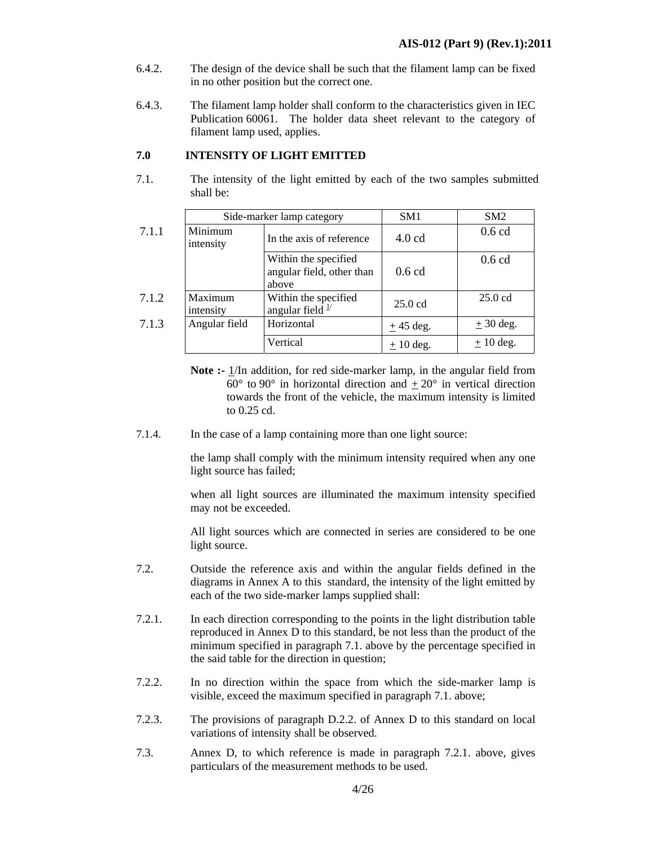- 6.4.2. The design of the device shall be such that the filament lamp can be fixed in no other position but the correct one.
- 6.4.3. The filament lamp holder shall conform to the characteristics given in IEC Publication 60061. The holder data sheet relevant to the category of filament lamp used, applies.

# **7.0 INTENSITY OF LIGHT EMITTED**

7.1. The intensity of the light emitted by each of the two samples submitted shall be:

|       | Side-marker lamp category |                                                            | SM <sub>1</sub>   | SM2               |
|-------|---------------------------|------------------------------------------------------------|-------------------|-------------------|
| 7.1.1 | Minimum<br>intensity      | In the axis of reference                                   | $4.0 \text{ cd}$  | $0.6$ cd          |
|       |                           | Within the specified<br>angular field, other than<br>above | $0.6$ cd          | $0.6$ cd          |
| 7.1.2 | Maximum<br>intensity      | Within the specified<br>angular field $\frac{1}{2}$        | $25.0 \text{ cd}$ | $25.0 \text{ cd}$ |
| 7.1.3 | Angular field             | Horizontal                                                 | $+45$ deg.        | $\pm$ 30 deg.     |
|       |                           | Vertical                                                   | $+10$ deg.        | $+10$ deg.        |

- **Note :-** 1/In addition, for red side-marker lamp, in the angular field from  $60^{\circ}$  to  $90^{\circ}$  in horizontal direction and  $+20^{\circ}$  in vertical direction towards the front of the vehicle, the maximum intensity is limited to 0.25 cd.
- 7.1.4. In the case of a lamp containing more than one light source:

the lamp shall comply with the minimum intensity required when any one light source has failed;

when all light sources are illuminated the maximum intensity specified may not be exceeded.

All light sources which are connected in series are considered to be one light source.

- 7.2. Outside the reference axis and within the angular fields defined in the diagrams in Annex A to this standard, the intensity of the light emitted by each of the two side-marker lamps supplied shall:
- 7.2.1. In each direction corresponding to the points in the light distribution table reproduced in Annex D to this standard, be not less than the product of the minimum specified in paragraph 7.1. above by the percentage specified in the said table for the direction in question;
- 7.2.2. In no direction within the space from which the side-marker lamp is visible, exceed the maximum specified in paragraph 7.1. above;
- 7.2.3. The provisions of paragraph D.2.2. of Annex D to this standard on local variations of intensity shall be observed.
- 7.3. Annex D, to which reference is made in paragraph 7.2.1. above, gives particulars of the measurement methods to be used.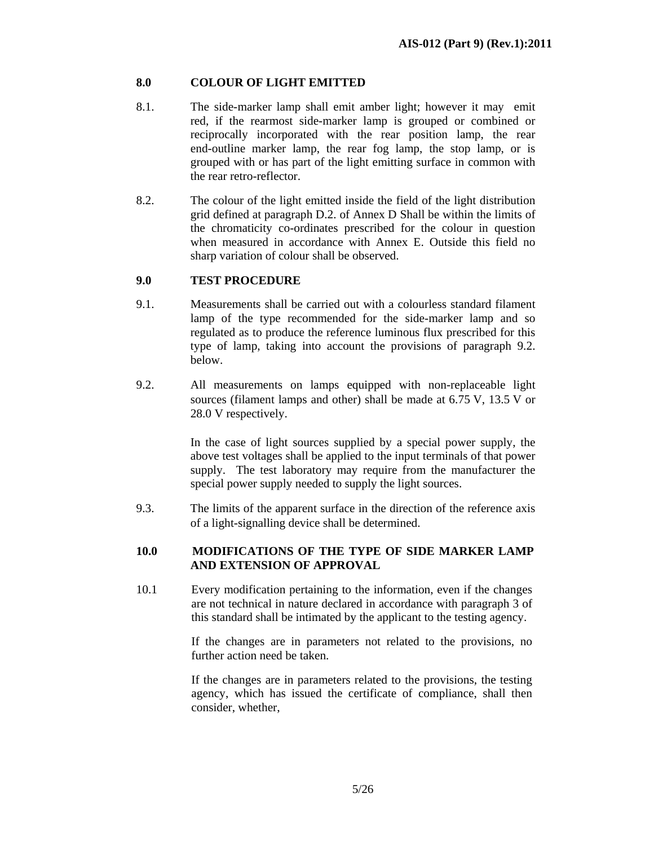# **8.0 COLOUR OF LIGHT EMITTED**

- 8.1. The side-marker lamp shall emit amber light; however it may emit red, if the rearmost side-marker lamp is grouped or combined or reciprocally incorporated with the rear position lamp, the rear end-outline marker lamp, the rear fog lamp, the stop lamp, or is grouped with or has part of the light emitting surface in common with the rear retro-reflector.
- 8.2. The colour of the light emitted inside the field of the light distribution grid defined at paragraph D.2. of Annex D Shall be within the limits of the chromaticity co-ordinates prescribed for the colour in question when measured in accordance with Annex E. Outside this field no sharp variation of colour shall be observed.

# **9.0 TEST PROCEDURE**

- 9.1. Measurements shall be carried out with a colourless standard filament lamp of the type recommended for the side-marker lamp and so regulated as to produce the reference luminous flux prescribed for this type of lamp, taking into account the provisions of paragraph 9.2. below.
- 9.2. All measurements on lamps equipped with non-replaceable light sources (filament lamps and other) shall be made at 6.75 V, 13.5 V or 28.0 V respectively.

 In the case of light sources supplied by a special power supply, the above test voltages shall be applied to the input terminals of that power supply. The test laboratory may require from the manufacturer the special power supply needed to supply the light sources.

9.3. The limits of the apparent surface in the direction of the reference axis of a light-signalling device shall be determined.

# **10.0 MODIFICATIONS OF THE TYPE OF SIDE MARKER LAMP AND EXTENSION OF APPROVAL**

10.1 Every modification pertaining to the information, even if the changes are not technical in nature declared in accordance with paragraph 3 of this standard shall be intimated by the applicant to the testing agency.

> If the changes are in parameters not related to the provisions, no further action need be taken.

> If the changes are in parameters related to the provisions, the testing agency, which has issued the certificate of compliance, shall then consider, whether,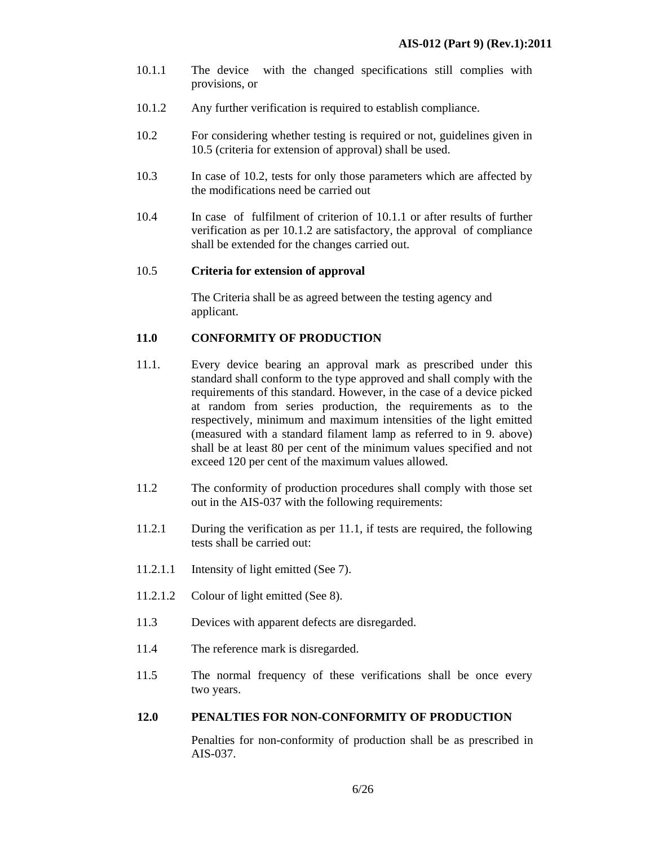- 10.1.1 The device with the changed specifications still complies with provisions, or
- 10.1.2 Any further verification is required to establish compliance.
- 10.2 For considering whether testing is required or not, guidelines given in 10.5 (criteria for extension of approval) shall be used.
- 10.3 In case of 10.2, tests for only those parameters which are affected by the modifications need be carried out
- 10.4 In case of fulfilment of criterion of 10.1.1 or after results of further verification as per 10.1.2 are satisfactory, the approval of compliance shall be extended for the changes carried out.

### 10.5 **Criteria for extension of approval**

The Criteria shall be as agreed between the testing agency and applicant.

# **11.0 CONFORMITY OF PRODUCTION**

- 11.1. Every device bearing an approval mark as prescribed under this standard shall conform to the type approved and shall comply with the requirements of this standard. However, in the case of a device picked at random from series production, the requirements as to the respectively, minimum and maximum intensities of the light emitted (measured with a standard filament lamp as referred to in 9. above) shall be at least 80 per cent of the minimum values specified and not exceed 120 per cent of the maximum values allowed.
- 11.2 The conformity of production procedures shall comply with those set out in the AIS-037 with the following requirements:
- 11.2.1 During the verification as per 11.1, if tests are required, the following tests shall be carried out:
- 11.2.1.1 Intensity of light emitted (See 7).
- 11.2.1.2 Colour of light emitted (See 8).
- 11.3 Devices with apparent defects are disregarded.
- 11.4 The reference mark is disregarded.
- 11.5 The normal frequency of these verifications shall be once every two years.

### **12.0 PENALTIES FOR NON-CONFORMITY OF PRODUCTION**

Penalties for non-conformity of production shall be as prescribed in AIS-037.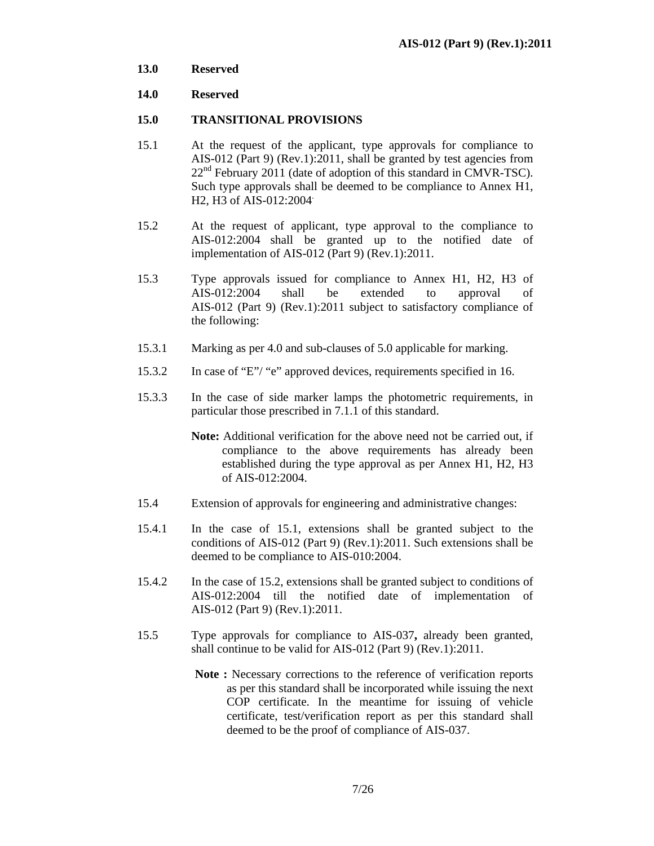**13.0 Reserved** 

## **14.0 Reserved**

### **15.0 TRANSITIONAL PROVISIONS**

- 15.1 At the request of the applicant, type approvals for compliance to AIS-012 (Part 9) (Rev.1):2011, shall be granted by test agencies from  $22<sup>nd</sup>$  February 2011 (date of adoption of this standard in CMVR-TSC). Such type approvals shall be deemed to be compliance to Annex H1, H2, H3 of AIS-012:2004.
- 15.2 At the request of applicant, type approval to the compliance to AIS-012:2004 shall be granted up to the notified date of implementation of AIS-012 (Part 9) (Rev.1):2011.
- 15.3 Type approvals issued for compliance to Annex H1, H2, H3 of AIS-012:2004 shall be extended to approval of AIS-012 (Part 9) (Rev.1):2011 subject to satisfactory compliance of the following:
- 15.3.1 Marking as per 4.0 and sub-clauses of 5.0 applicable for marking.
- 15.3.2 In case of "E"/ "e" approved devices, requirements specified in 16.
- 15.3.3 In the case of side marker lamps the photometric requirements, in particular those prescribed in 7.1.1 of this standard.
	- **Note:** Additional verification for the above need not be carried out, if compliance to the above requirements has already been established during the type approval as per Annex H1, H2, H3 of AIS-012:2004.
- 15.4 Extension of approvals for engineering and administrative changes:
- 15.4.1 In the case of 15.1, extensions shall be granted subject to the conditions of AIS-012 (Part 9) (Rev.1):2011. Such extensions shall be deemed to be compliance to AIS-010:2004.
- 15.4.2 In the case of 15.2, extensions shall be granted subject to conditions of AIS-012:2004 till the notified date of implementation of AIS-012 (Part 9) (Rev.1):2011.
- 15.5 Type approvals for compliance to AIS-037**,** already been granted, shall continue to be valid for AIS-012 (Part 9) (Rev.1):2011.
	- **Note :** Necessary corrections to the reference of verification reports as per this standard shall be incorporated while issuing the next COP certificate. In the meantime for issuing of vehicle certificate, test/verification report as per this standard shall deemed to be the proof of compliance of AIS-037.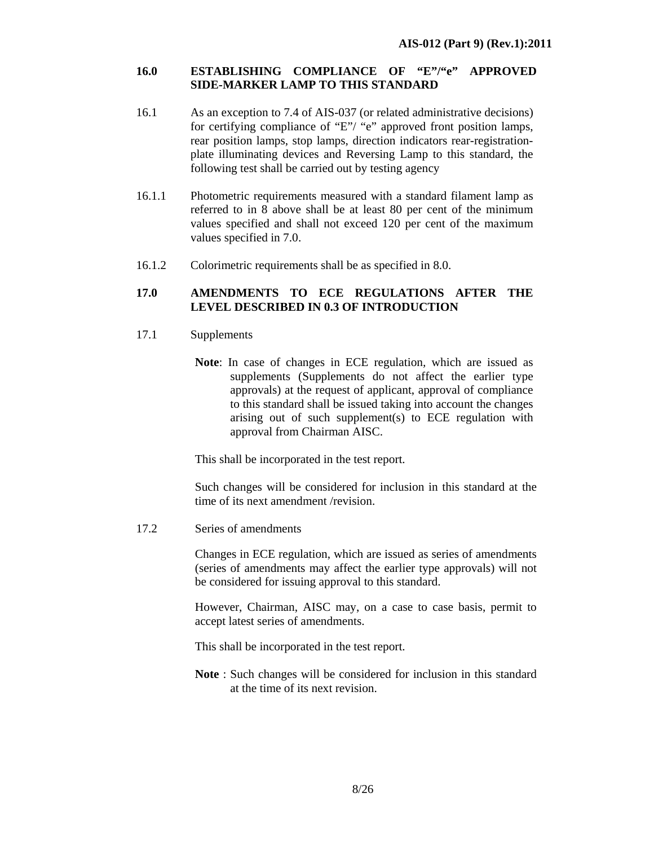### **16.0 ESTABLISHING COMPLIANCE OF "E"/"e" APPROVED SIDE-MARKER LAMP TO THIS STANDARD**

- 16.1 As an exception to 7.4 of AIS-037 (or related administrative decisions) for certifying compliance of "E"/ "e" approved front position lamps, rear position lamps, stop lamps, direction indicators rear-registrationplate illuminating devices and Reversing Lamp to this standard, the following test shall be carried out by testing agency
- 16.1.1 Photometric requirements measured with a standard filament lamp as referred to in 8 above shall be at least 80 per cent of the minimum values specified and shall not exceed 120 per cent of the maximum values specified in 7.0.
- 16.1.2 Colorimetric requirements shall be as specified in 8.0.

### **17.0 AMENDMENTS TO ECE REGULATIONS AFTER THE LEVEL DESCRIBED IN 0.3 OF INTRODUCTION**

- 17.1 Supplements
	- **Note**: In case of changes in ECE regulation*,* which are issued as supplements (Supplements do not affect the earlier type approvals) at the request of applicant, approval of compliance to this standard shall be issued taking into account the changes arising out of such supplement(s) to ECE regulation with approval from Chairman AISC.

This shall be incorporated in the test report.

Such changes will be considered for inclusion in this standard at the time of its next amendment /revision.

17.2 Series of amendments

Changes in ECE regulation, which are issued as series of amendments (series of amendments may affect the earlier type approvals) will not be considered for issuing approval to this standard.

However, Chairman, AISC may, on a case to case basis, permit to accept latest series of amendments.

This shall be incorporated in the test report.

**Note** : Such changes will be considered for inclusion in this standard at the time of its next revision.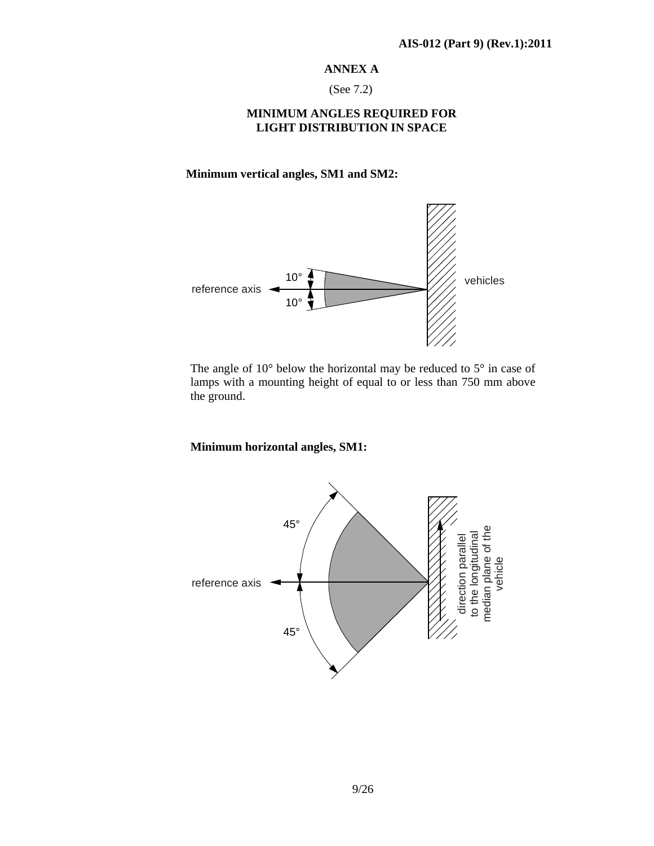### **ANNEX A**

(See 7.2)

## **MINIMUM ANGLES REQUIRED FOR LIGHT DISTRIBUTION IN SPACE**

**Minimum vertical angles, SM1 and SM2:** 



The angle of 10° below the horizontal may be reduced to 5° in case of lamps with a mounting height of equal to or less than 750 mm above the ground.

# **Minimum horizontal angles, SM1:**

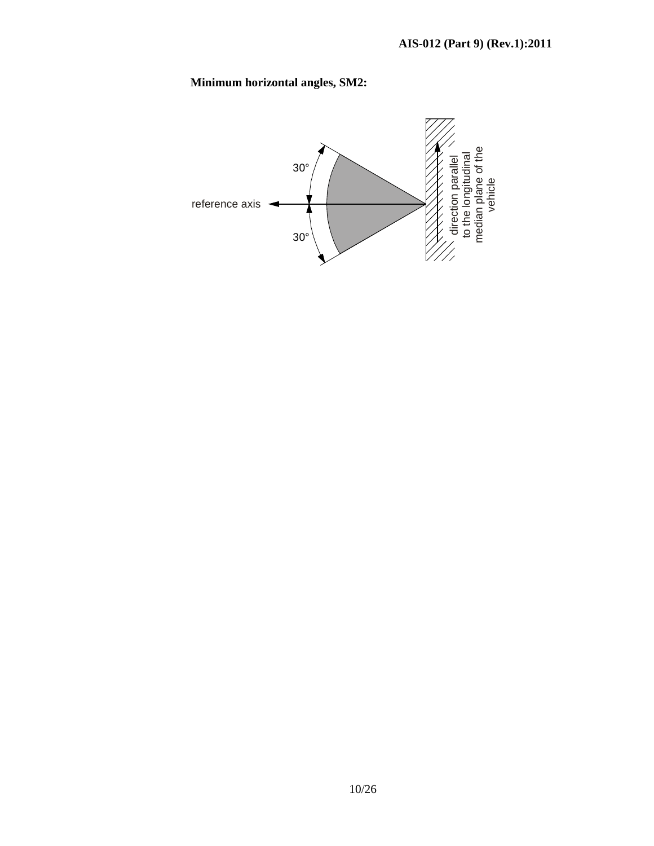# **Minimum horizontal angles, SM2:**

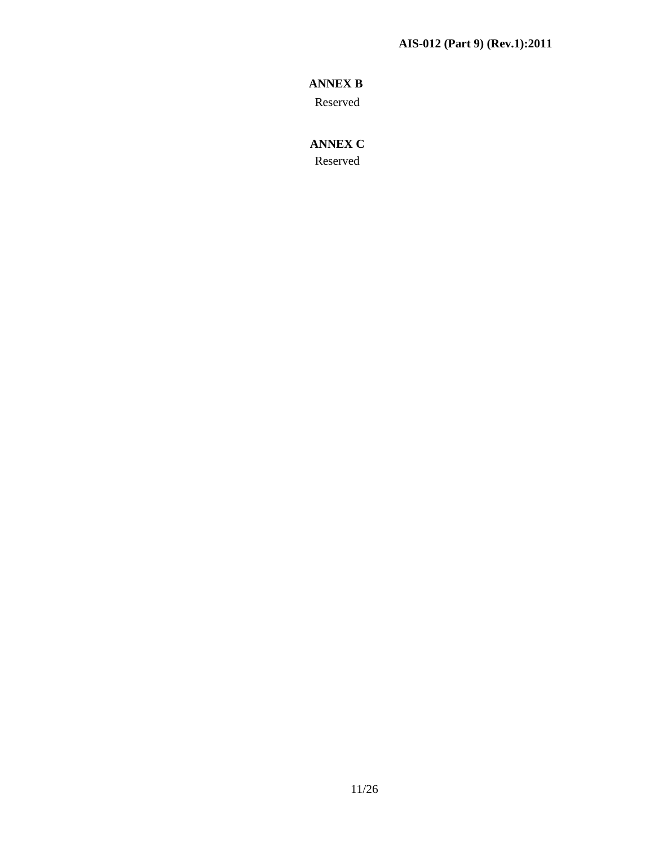# **ANNEX B**

Reserved

# **ANNEX C**

Reserved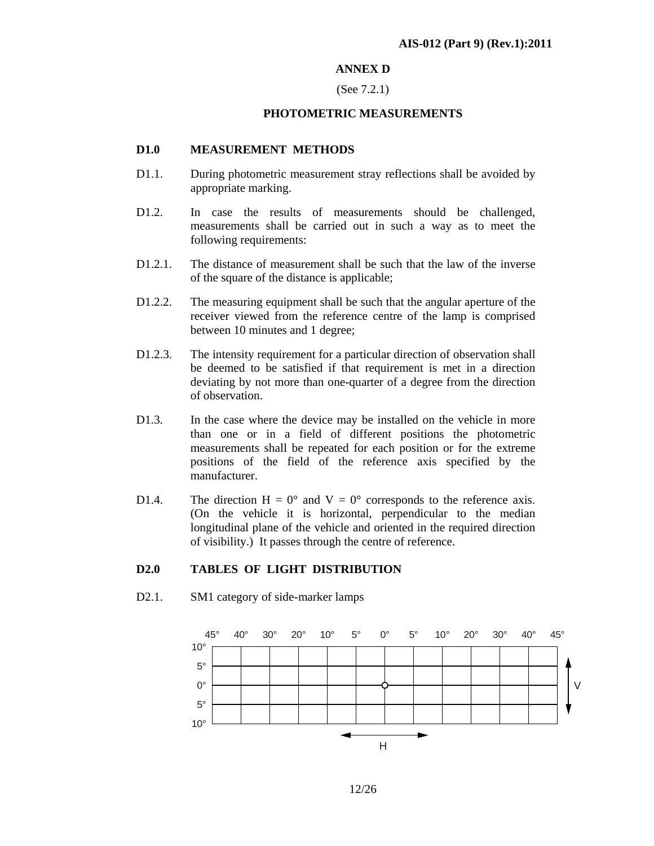### **ANNEX D**

### (See 7.2.1)

### **PHOTOMETRIC MEASUREMENTS**

### **D1.0 MEASUREMENT METHODS**

- D1.1. During photometric measurement stray reflections shall be avoided by appropriate marking.
- D1.2. In case the results of measurements should be challenged, measurements shall be carried out in such a way as to meet the following requirements:
- D1.2.1. The distance of measurement shall be such that the law of the inverse of the square of the distance is applicable;
- D1.2.2. The measuring equipment shall be such that the angular aperture of the receiver viewed from the reference centre of the lamp is comprised between 10 minutes and 1 degree;
- D1.2.3. The intensity requirement for a particular direction of observation shall be deemed to be satisfied if that requirement is met in a direction deviating by not more than one-quarter of a degree from the direction of observation.
- D1.3. In the case where the device may be installed on the vehicle in more than one or in a field of different positions the photometric measurements shall be repeated for each position or for the extreme positions of the field of the reference axis specified by the manufacturer.
- D1.4. The direction H =  $0^{\circ}$  and V =  $0^{\circ}$  corresponds to the reference axis. (On the vehicle it is horizontal, perpendicular to the median longitudinal plane of the vehicle and oriented in the required direction of visibility.) It passes through the centre of reference.

### **D2.0 TABLES OF LIGHT DISTRIBUTION**

D2.1. SM1 category of side-marker lamps

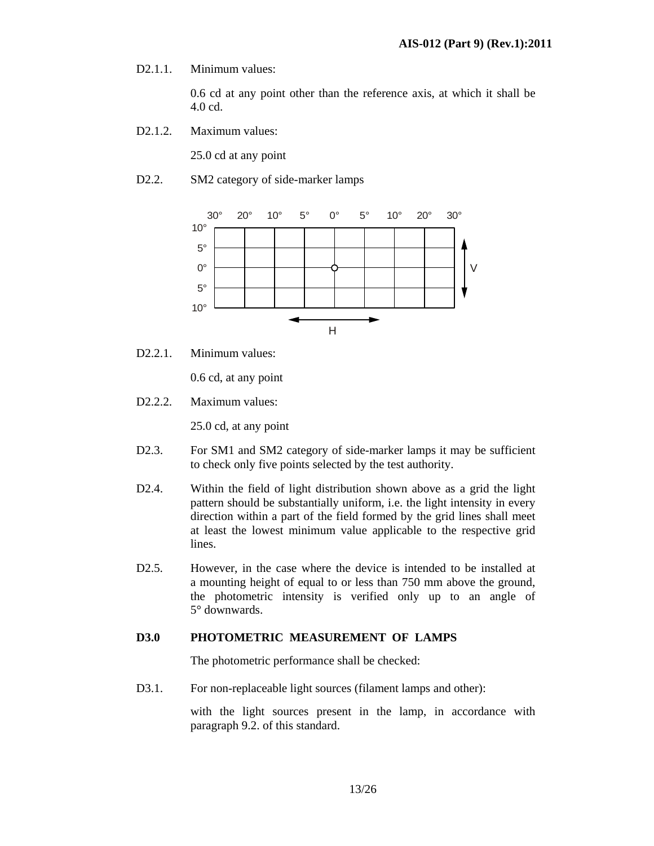D<sub>2</sub>.1.1. Minimum values:

0.6 cd at any point other than the reference axis, at which it shall be 4.0 cd.

D2.1.2. Maximum values:

25.0 cd at any point

D2.2. SM2 category of side-marker lamps



D2.2.1. Minimum values:

0.6 cd, at any point

D<sub>2</sub>.2.2. Maximum values:

25.0 cd, at any point

- D2.3. For SM1 and SM2 category of side-marker lamps it may be sufficient to check only five points selected by the test authority.
- D2.4. Within the field of light distribution shown above as a grid the light pattern should be substantially uniform, i.e. the light intensity in every direction within a part of the field formed by the grid lines shall meet at least the lowest minimum value applicable to the respective grid lines.
- D2.5. However, in the case where the device is intended to be installed at a mounting height of equal to or less than 750 mm above the ground, the photometric intensity is verified only up to an angle of 5° downwards.

### **D3.0 PHOTOMETRIC MEASUREMENT OF LAMPS**

The photometric performance shall be checked:

D3.1. For non-replaceable light sources (filament lamps and other):

with the light sources present in the lamp, in accordance with paragraph 9.2. of this standard.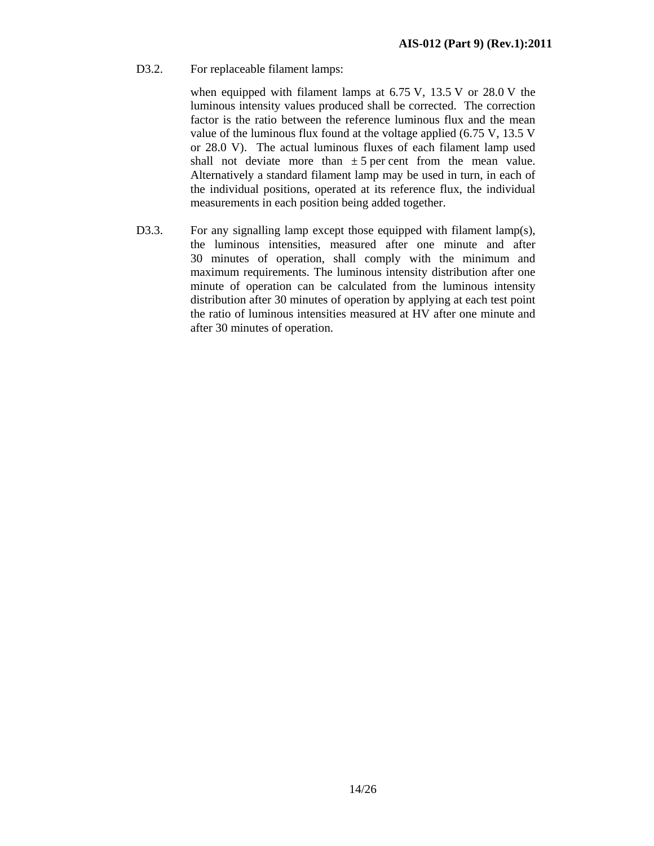D3.2. For replaceable filament lamps:

when equipped with filament lamps at 6.75 V, 13.5 V or 28.0 V the luminous intensity values produced shall be corrected. The correction factor is the ratio between the reference luminous flux and the mean value of the luminous flux found at the voltage applied (6.75 V, 13.5 V or 28.0 V). The actual luminous fluxes of each filament lamp used shall not deviate more than  $\pm 5$  per cent from the mean value. Alternatively a standard filament lamp may be used in turn, in each of the individual positions, operated at its reference flux, the individual measurements in each position being added together.

D3.3. For any signalling lamp except those equipped with filament lamp(s), the luminous intensities, measured after one minute and after 30 minutes of operation, shall comply with the minimum and maximum requirements. The luminous intensity distribution after one minute of operation can be calculated from the luminous intensity distribution after 30 minutes of operation by applying at each test point the ratio of luminous intensities measured at HV after one minute and after 30 minutes of operation.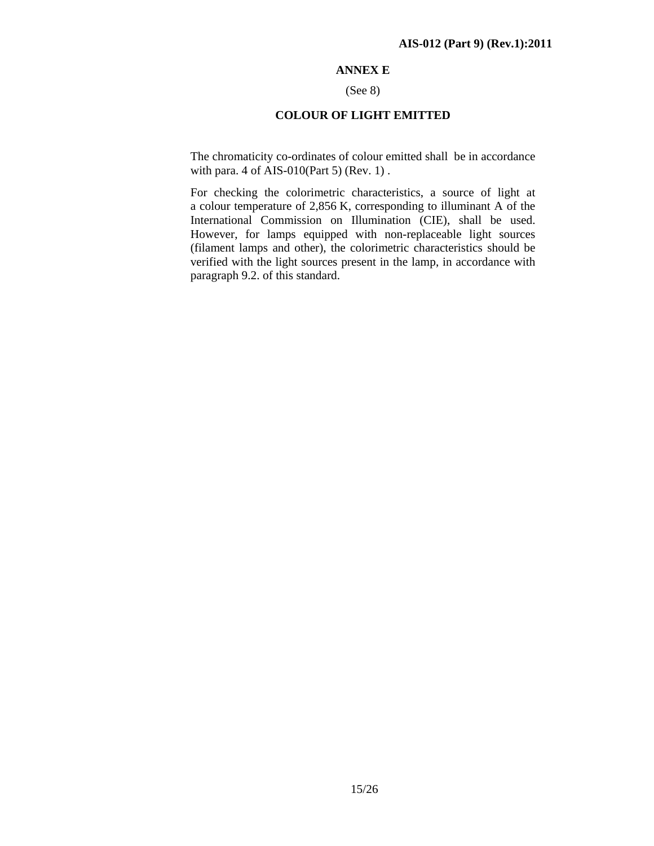### **ANNEX E**

#### (See 8)

### **COLOUR OF LIGHT EMITTED**

The chromaticity co-ordinates of colour emitted shall be in accordance with para. 4 of AIS-010(Part 5) (Rev. 1) .

For checking the colorimetric characteristics, a source of light at a colour temperature of 2,856 K, corresponding to illuminant A of the International Commission on Illumination (CIE), shall be used. However, for lamps equipped with non-replaceable light sources (filament lamps and other), the colorimetric characteristics should be verified with the light sources present in the lamp, in accordance with paragraph 9.2. of this standard.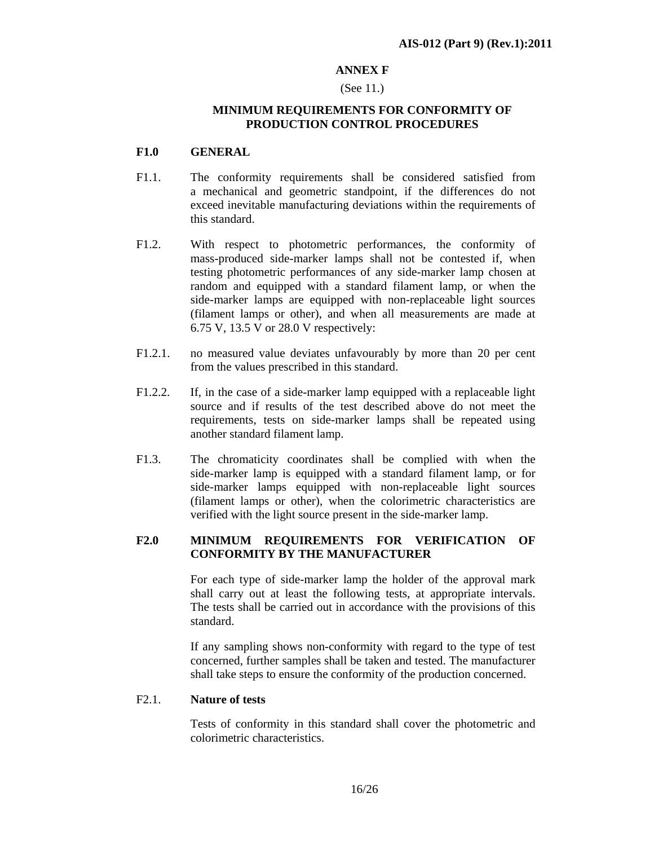### **ANNEX F**

### (See 11.)

### **MINIMUM REQUIREMENTS FOR CONFORMITY OF PRODUCTION CONTROL PROCEDURES**

### **F1.0 GENERAL**

- F1.1. The conformity requirements shall be considered satisfied from a mechanical and geometric standpoint, if the differences do not exceed inevitable manufacturing deviations within the requirements of this standard.
- F1.2. With respect to photometric performances, the conformity of mass-produced side-marker lamps shall not be contested if, when testing photometric performances of any side-marker lamp chosen at random and equipped with a standard filament lamp, or when the side-marker lamps are equipped with non-replaceable light sources (filament lamps or other), and when all measurements are made at 6.75 V, 13.5 V or 28.0 V respectively:
- F1.2.1. no measured value deviates unfavourably by more than 20 per cent from the values prescribed in this standard.
- F1.2.2. If, in the case of a side-marker lamp equipped with a replaceable light source and if results of the test described above do not meet the requirements, tests on side-marker lamps shall be repeated using another standard filament lamp.
- F1.3. The chromaticity coordinates shall be complied with when the side-marker lamp is equipped with a standard filament lamp, or for side-marker lamps equipped with non-replaceable light sources (filament lamps or other), when the colorimetric characteristics are verified with the light source present in the side-marker lamp.

# **F2.0 MINIMUM REQUIREMENTS FOR VERIFICATION OF CONFORMITY BY THE MANUFACTURER**

 For each type of side-marker lamp the holder of the approval mark shall carry out at least the following tests, at appropriate intervals. The tests shall be carried out in accordance with the provisions of this standard.

 If any sampling shows non-conformity with regard to the type of test concerned, further samples shall be taken and tested. The manufacturer shall take steps to ensure the conformity of the production concerned.

### F2.1. **Nature of tests**

 Tests of conformity in this standard shall cover the photometric and colorimetric characteristics.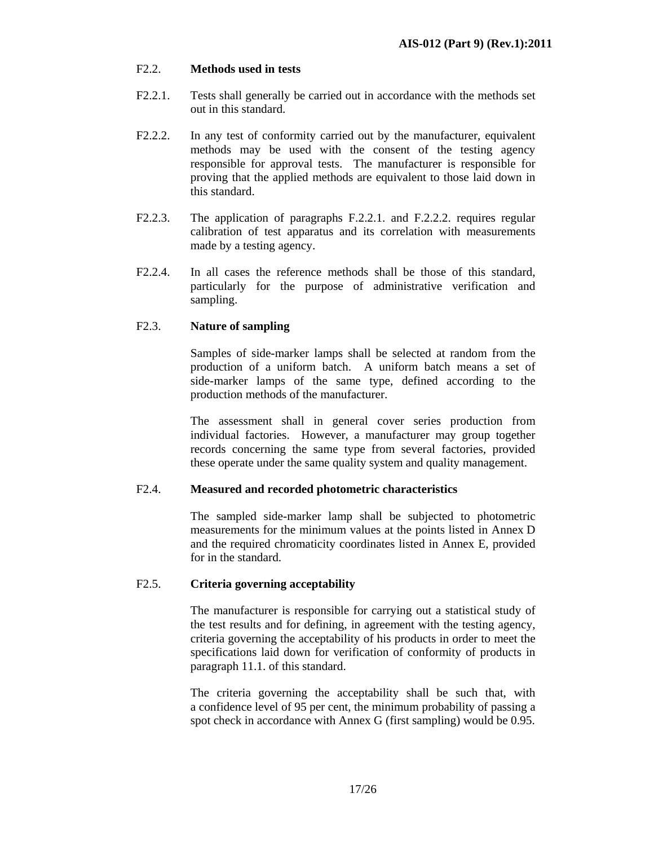### F2.2. **Methods used in tests**

- F2.2.1. Tests shall generally be carried out in accordance with the methods set out in this standard.
- F2.2.2. In any test of conformity carried out by the manufacturer, equivalent methods may be used with the consent of the testing agency responsible for approval tests. The manufacturer is responsible for proving that the applied methods are equivalent to those laid down in this standard.
- F2.2.3. The application of paragraphs F.2.2.1. and F.2.2.2. requires regular calibration of test apparatus and its correlation with measurements made by a testing agency.
- F2.2.4. In all cases the reference methods shall be those of this standard, particularly for the purpose of administrative verification and sampling.

# F2.3. **Nature of sampling**

 Samples of side-marker lamps shall be selected at random from the production of a uniform batch. A uniform batch means a set of side-marker lamps of the same type, defined according to the production methods of the manufacturer.

 The assessment shall in general cover series production from individual factories. However, a manufacturer may group together records concerning the same type from several factories, provided these operate under the same quality system and quality management.

### F2.4. **Measured and recorded photometric characteristics**

 The sampled side-marker lamp shall be subjected to photometric measurements for the minimum values at the points listed in Annex D and the required chromaticity coordinates listed in Annex E, provided for in the standard.

### F2.5. **Criteria governing acceptability**

 The manufacturer is responsible for carrying out a statistical study of the test results and for defining, in agreement with the testing agency, criteria governing the acceptability of his products in order to meet the specifications laid down for verification of conformity of products in paragraph 11.1. of this standard.

 The criteria governing the acceptability shall be such that, with a confidence level of 95 per cent, the minimum probability of passing a spot check in accordance with Annex G (first sampling) would be 0.95.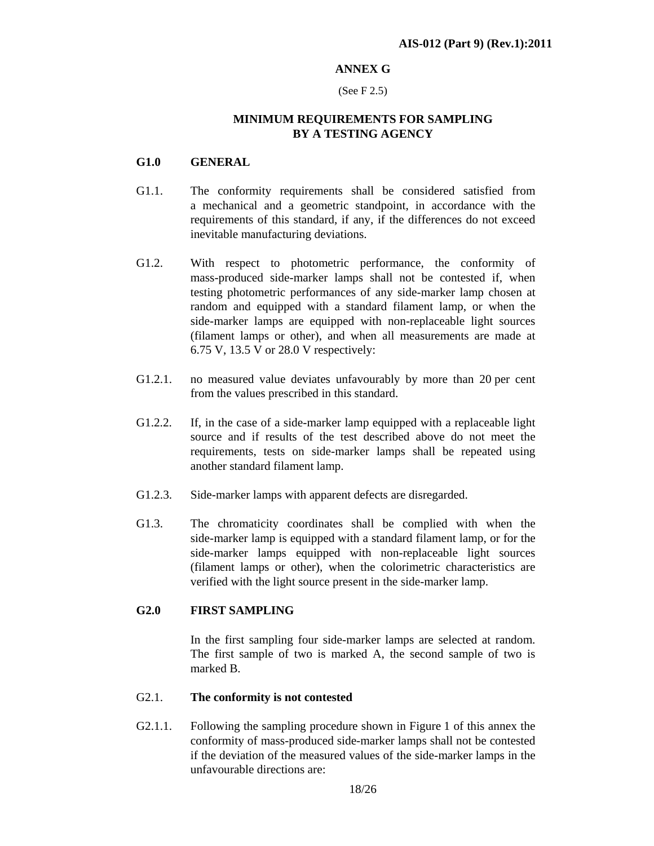### **ANNEX G**

#### (See F 2.5)

# **MINIMUM REQUIREMENTS FOR SAMPLING BY A TESTING AGENCY**

### **G1.0 GENERAL**

- G1.1. The conformity requirements shall be considered satisfied from a mechanical and a geometric standpoint, in accordance with the requirements of this standard, if any, if the differences do not exceed inevitable manufacturing deviations.
- G1.2. With respect to photometric performance, the conformity of mass-produced side-marker lamps shall not be contested if, when testing photometric performances of any side-marker lamp chosen at random and equipped with a standard filament lamp, or when the side-marker lamps are equipped with non-replaceable light sources (filament lamps or other), and when all measurements are made at 6.75 V, 13.5 V or 28.0 V respectively:
- G1.2.1. no measured value deviates unfavourably by more than 20 per cent from the values prescribed in this standard.
- G1.2.2. If, in the case of a side-marker lamp equipped with a replaceable light source and if results of the test described above do not meet the requirements, tests on side-marker lamps shall be repeated using another standard filament lamp.
- G1.2.3. Side-marker lamps with apparent defects are disregarded.
- G1.3. The chromaticity coordinates shall be complied with when the side-marker lamp is equipped with a standard filament lamp, or for the side-marker lamps equipped with non-replaceable light sources (filament lamps or other), when the colorimetric characteristics are verified with the light source present in the side-marker lamp.

### **G2.0 FIRST SAMPLING**

 In the first sampling four side-marker lamps are selected at random. The first sample of two is marked A, the second sample of two is marked B.

### G2.1. **The conformity is not contested**

G2.1.1. Following the sampling procedure shown in Figure 1 of this annex the conformity of mass-produced side-marker lamps shall not be contested if the deviation of the measured values of the side-marker lamps in the unfavourable directions are: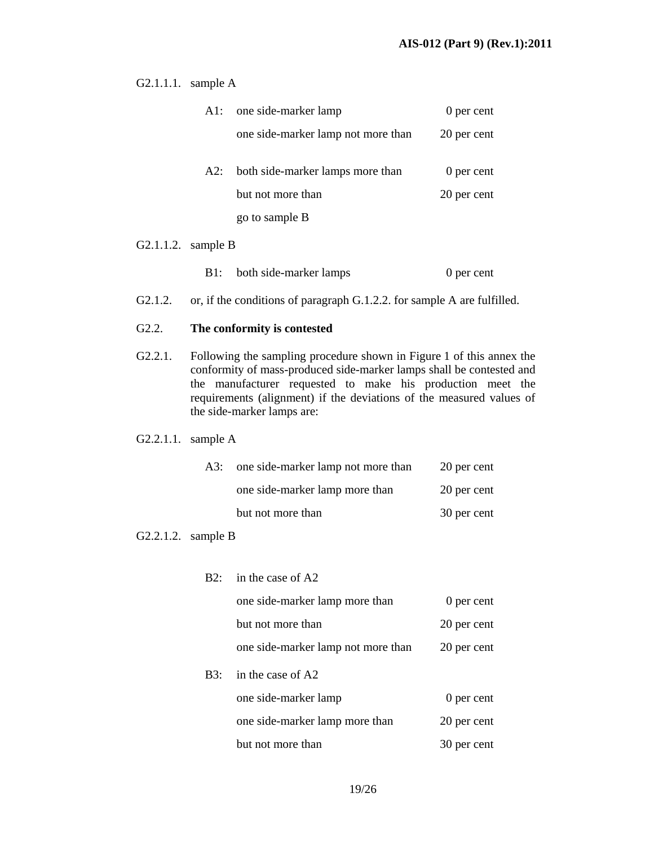G2.1.1.1. sample A

| Al: | one side-marker lamp               | 0 per cent  |
|-----|------------------------------------|-------------|
|     | one side-marker lamp not more than | 20 per cent |
| A2: | both side-marker lamps more than   | 0 per cent  |
|     | but not more than                  | 20 per cent |
|     | go to sample B                     |             |
|     |                                    |             |

### G2.1.1.2. sample B

- B1: both side-marker lamps 0 per cent
- G2.1.2. or, if the conditions of paragraph G.1.2.2. for sample A are fulfilled.

### G2.2. **The conformity is contested**

G2.2.1. Following the sampling procedure shown in Figure 1 of this annex the conformity of mass-produced side-marker lamps shall be contested and the manufacturer requested to make his production meet the requirements (alignment) if the deviations of the measured values of the side-marker lamps are:

### G2.2.1.1. sample A

| A3: | one side-marker lamp not more than | 20 per cent |
|-----|------------------------------------|-------------|
|     | one side-marker lamp more than     | 20 per cent |
|     | but not more than                  | 30 per cent |

### G2.2.1.2. sample B

| $B2^{\circ}$ | in the case of A2                  |             |
|--------------|------------------------------------|-------------|
|              | one side-marker lamp more than     | 0 per cent  |
|              | but not more than                  | 20 per cent |
|              | one side-marker lamp not more than | 20 per cent |
| B3:          | in the case of A2                  |             |
|              | one side-marker lamp               | 0 per cent  |
|              | one side-marker lamp more than     | 20 per cent |
|              | but not more than                  | 30 per cent |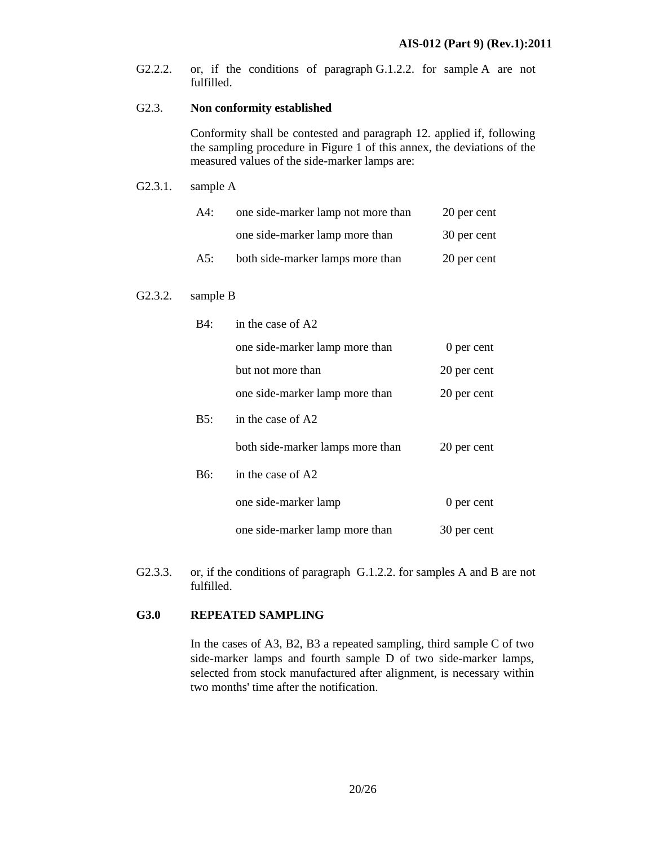G2.2.2. or, if the conditions of paragraph G.1.2.2. for sample A are not fulfilled.

### G2.3. **Non conformity established**

 Conformity shall be contested and paragraph 12. applied if, following the sampling procedure in Figure 1 of this annex, the deviations of the measured values of the side-marker lamps are:

### G2.3.1. sample A

| $A4$ : | one side-marker lamp not more than | 20 per cent |
|--------|------------------------------------|-------------|
|        | one side-marker lamp more than     | 30 per cent |
| A5:    | both side-marker lamps more than   | 20 per cent |

### G2.3.2. sample B

| B4. | in the case of A2                |             |
|-----|----------------------------------|-------------|
|     | one side-marker lamp more than   | 0 per cent  |
|     | but not more than                | 20 per cent |
|     | one side-marker lamp more than   | 20 per cent |
| B5: | in the case of A2                |             |
|     | both side-marker lamps more than | 20 per cent |
| B6: | in the case of A2                |             |
|     | one side-marker lamp             | 0 per cent  |
|     | one side-marker lamp more than   | 30 per cent |

G2.3.3. or, if the conditions of paragraph G.1.2.2. for samples A and B are not fulfilled.

### **G3.0 REPEATED SAMPLING**

 In the cases of A3, B2, B3 a repeated sampling, third sample C of two side-marker lamps and fourth sample D of two side-marker lamps, selected from stock manufactured after alignment, is necessary within two months' time after the notification.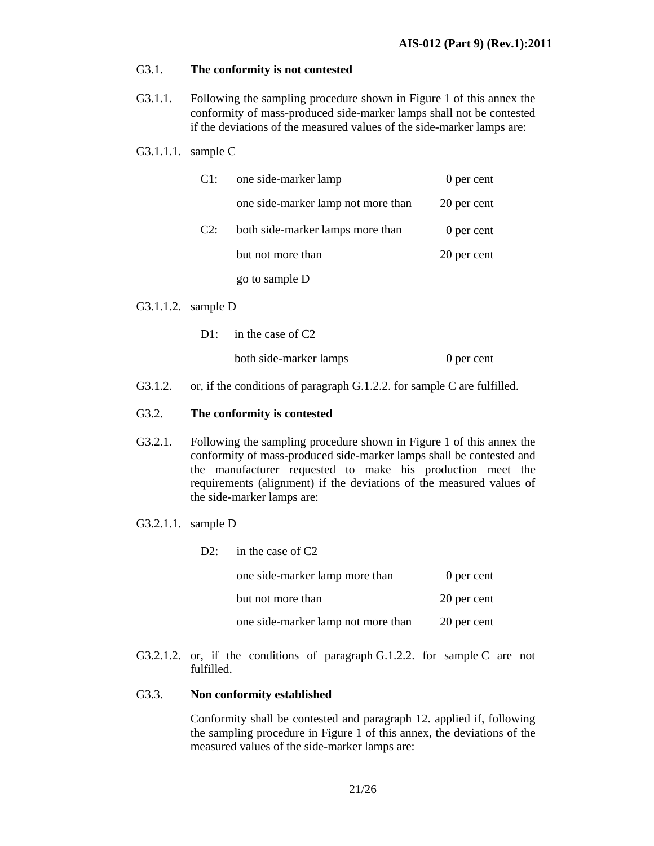### G3.1. **The conformity is not contested**

G3.1.1. Following the sampling procedure shown in Figure 1 of this annex the conformity of mass-produced side-marker lamps shall not be contested if the deviations of the measured values of the side-marker lamps are:

### G3.1.1.1. sample C

| Cl:    | one side-marker lamp               | 0 per cent  |
|--------|------------------------------------|-------------|
|        | one side-marker lamp not more than | 20 per cent |
| $C2$ : | both side-marker lamps more than   | 0 per cent  |
|        | but not more than                  | 20 per cent |
|        | go to sample D                     |             |

### G3.1.1.2. sample D

- D1: in the case of C2 both side-marker lamps 0 per cent
- G3.1.2. or, if the conditions of paragraph G.1.2.2. for sample C are fulfilled.

### G3.2. **The conformity is contested**

- G3.2.1. Following the sampling procedure shown in Figure 1 of this annex the conformity of mass-produced side-marker lamps shall be contested and the manufacturer requested to make his production meet the requirements (alignment) if the deviations of the measured values of the side-marker lamps are:
- G3.2.1.1. sample D

| $D2$ : | in the case of $C2$                |             |
|--------|------------------------------------|-------------|
|        | one side-marker lamp more than     | 0 per cent  |
|        | but not more than                  | 20 per cent |
|        | one side-marker lamp not more than | 20 per cent |

G3.2.1.2. or, if the conditions of paragraph G.1.2.2. for sample C are not fulfilled.

### G3.3. **Non conformity established**

 Conformity shall be contested and paragraph 12. applied if, following the sampling procedure in Figure 1 of this annex, the deviations of the measured values of the side-marker lamps are: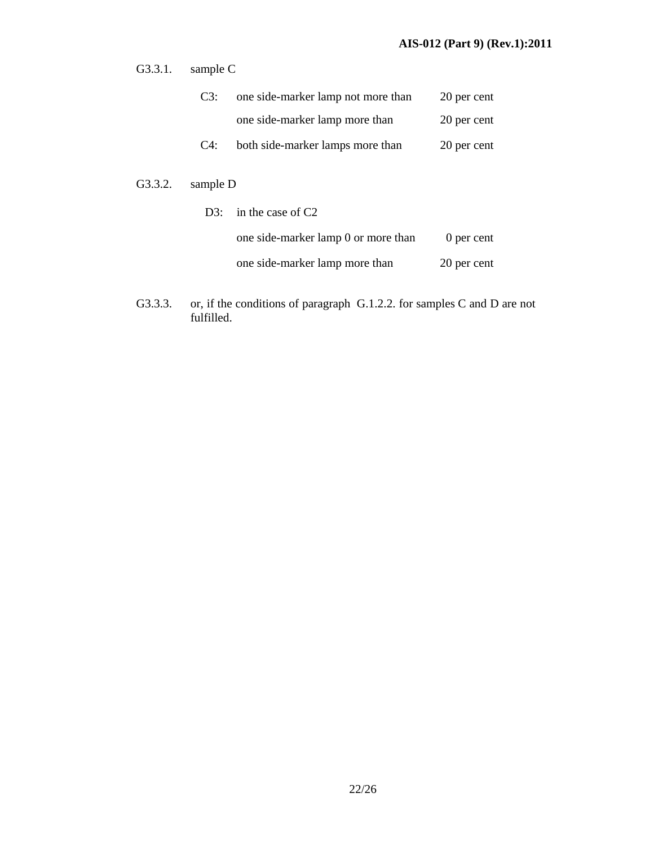G3.3.1. sample C

| C3:    | one side-marker lamp not more than | 20 per cent |
|--------|------------------------------------|-------------|
|        | one side-marker lamp more than     | 20 per cent |
| $C4$ : | both side-marker lamps more than   | 20 per cent |

G3.3.2. sample D

| D3: in the case of $C2$             |             |  |
|-------------------------------------|-------------|--|
| one side-marker lamp 0 or more than | 0 per cent  |  |
| one side-marker lamp more than      | 20 per cent |  |

G3.3.3. or, if the conditions of paragraph G.1.2.2. for samples C and D are not fulfilled.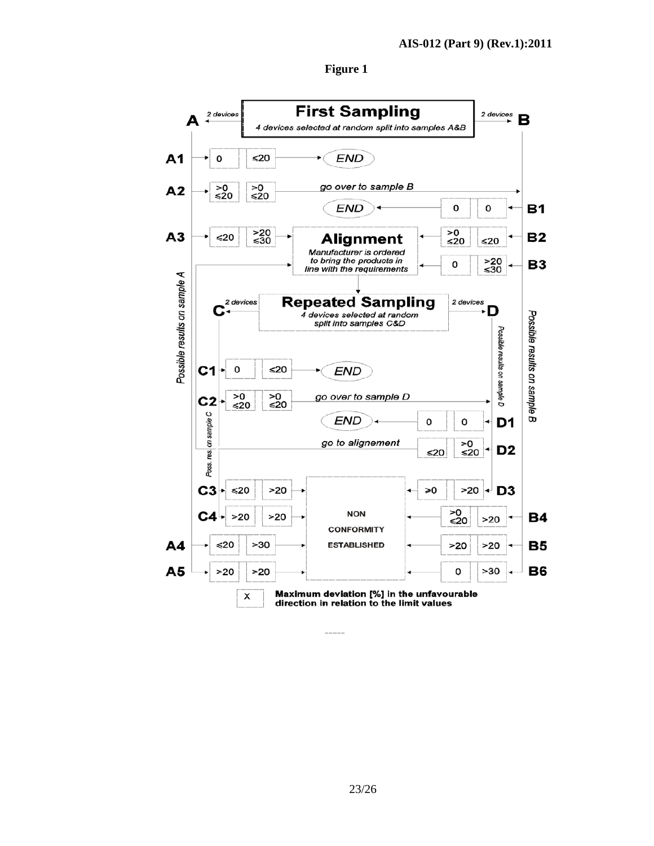

### **Figure 1**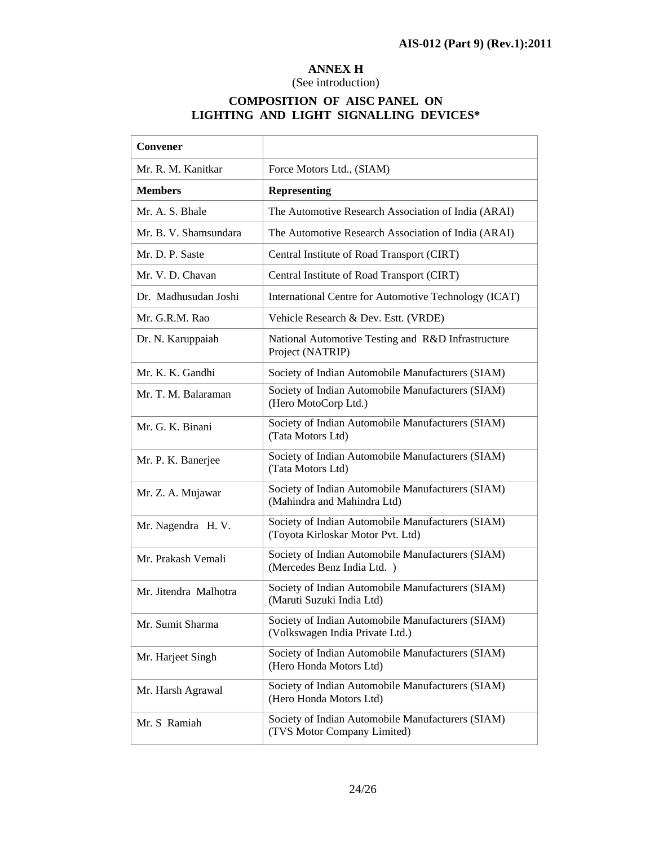Ť.

# **ANNEX H**

### (See introduction)

# **COMPOSITION OF AISC PANEL ON LIGHTING AND LIGHT SIGNALLING DEVICES\***

 $\overline{\phantom{a}}$ 

 $\overline{1}$ 

| Convener              |                                                                                        |
|-----------------------|----------------------------------------------------------------------------------------|
| Mr. R. M. Kanitkar    | Force Motors Ltd., (SIAM)                                                              |
| <b>Members</b>        | <b>Representing</b>                                                                    |
| Mr. A. S. Bhale       | The Automotive Research Association of India (ARAI)                                    |
| Mr. B. V. Shamsundara | The Automotive Research Association of India (ARAI)                                    |
| Mr. D. P. Saste       | Central Institute of Road Transport (CIRT)                                             |
| Mr. V. D. Chavan      | Central Institute of Road Transport (CIRT)                                             |
| Dr. Madhusudan Joshi  | International Centre for Automotive Technology (ICAT)                                  |
| Mr. G.R.M. Rao        | Vehicle Research & Dev. Estt. (VRDE)                                                   |
| Dr. N. Karuppaiah     | National Automotive Testing and R&D Infrastructure<br>Project (NATRIP)                 |
| Mr. K. K. Gandhi      | Society of Indian Automobile Manufacturers (SIAM)                                      |
| Mr. T. M. Balaraman   | Society of Indian Automobile Manufacturers (SIAM)<br>(Hero MotoCorp Ltd.)              |
| Mr. G. K. Binani      | Society of Indian Automobile Manufacturers (SIAM)<br>(Tata Motors Ltd)                 |
| Mr. P. K. Banerjee    | Society of Indian Automobile Manufacturers (SIAM)<br>(Tata Motors Ltd)                 |
| Mr. Z. A. Mujawar     | Society of Indian Automobile Manufacturers (SIAM)<br>(Mahindra and Mahindra Ltd)       |
| Mr. Nagendra H. V.    | Society of Indian Automobile Manufacturers (SIAM)<br>(Toyota Kirloskar Motor Pvt. Ltd) |
| Mr. Prakash Vemali    | Society of Indian Automobile Manufacturers (SIAM)<br>(Mercedes Benz India Ltd.)        |
| Mr. Jitendra Malhotra | Society of Indian Automobile Manufacturers (SIAM)<br>(Maruti Suzuki India Ltd)         |
| Mr. Sumit Sharma      | Society of Indian Automobile Manufacturers (SIAM)<br>(Volkswagen India Private Ltd.)   |
| Mr. Harjeet Singh     | Society of Indian Automobile Manufacturers (SIAM)<br>(Hero Honda Motors Ltd)           |
| Mr. Harsh Agrawal     | Society of Indian Automobile Manufacturers (SIAM)<br>(Hero Honda Motors Ltd)           |
| Mr. S Ramiah          | Society of Indian Automobile Manufacturers (SIAM)<br>(TVS Motor Company Limited)       |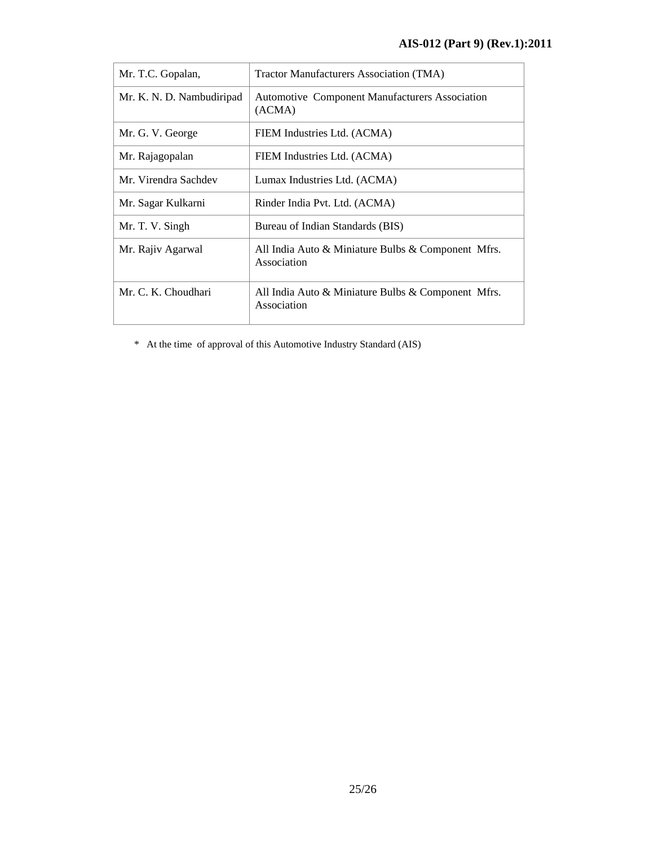| Mr. T.C. Gopalan,         | Tractor Manufacturers Association (TMA)                           |
|---------------------------|-------------------------------------------------------------------|
| Mr. K. N. D. Nambudiripad | <b>Automotive Component Manufacturers Association</b><br>(ACMA)   |
| Mr. G. V. George          | FIEM Industries Ltd. (ACMA)                                       |
| Mr. Rajagopalan           | FIEM Industries Ltd. (ACMA)                                       |
| Mr. Virendra Sachdev      | Lumax Industries Ltd. (ACMA)                                      |
| Mr. Sagar Kulkarni        | Rinder India Pvt. Ltd. (ACMA)                                     |
| Mr. T. V. Singh           | Bureau of Indian Standards (BIS)                                  |
| Mr. Rajiv Agarwal         | All India Auto & Miniature Bulbs & Component Mfrs.<br>Association |
| Mr. C. K. Choudhari       | All India Auto & Miniature Bulbs & Component Mfrs.<br>Association |

\* At the time of approval of this Automotive Industry Standard (AIS)